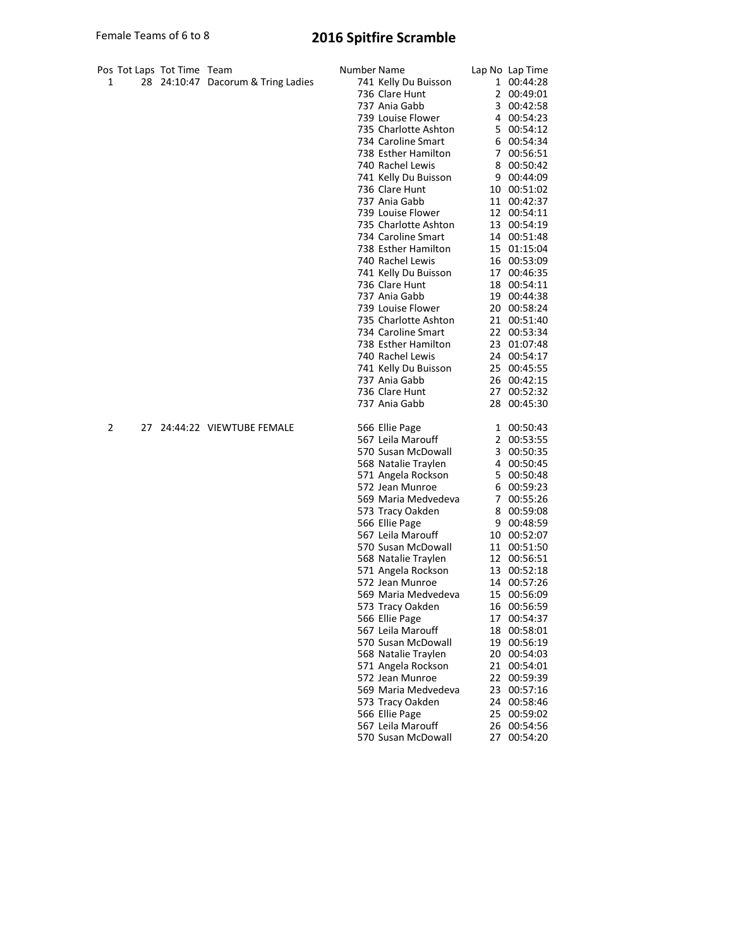## Female Teams of 6 to 8 2016 Spitfire Scramble

| Pos Tot Laps Tot Time Team<br>1 | 28 24:10:47 Dacorum & Tring Ladies | Number Name<br>741 Kelly Du Buisson<br>736 Clare Hunt<br>737 Ania Gabb<br>739 Louise Flower<br>735 Charlotte Ashton<br>734 Caroline Smart<br>738 Esther Hamilton<br>740 Rachel Lewis<br>741 Kelly Du Buisson<br>736 Clare Hunt<br>737 Ania Gabb<br>739 Louise Flower<br>735 Charlotte Ashton<br>734 Caroline Smart<br>738 Esther Hamilton<br>740 Rachel Lewis<br>741 Kelly Du Buisson<br>736 Clare Hunt<br>737 Ania Gabb<br>739 Louise Flower<br>735 Charlotte Ashton<br>734 Caroline Smart<br>738 Esther Hamilton<br>740 Rachel Lewis<br>741 Kelly Du Buisson<br>737 Ania Gabb<br>736 Clare Hunt  |    | Lap No Lap Time<br>1 00:44:28<br>2 00:49:01<br>3 00:42:58<br>4 00:54:23<br>5 00:54:12<br>6 00:54:34<br>7 00:56:51<br>8 00:50:42<br>9 00:44:09<br>10 00:51:02<br>11 00:42:37<br>12 00:54:11<br>13 00:54:19<br>14 00:51:48<br>15 01:15:04<br>16 00:53:09<br>17 00:46:35<br>18 00:54:11<br>19 00:44:38<br>20 00:58:24<br>21 00:51:40<br>22 00:53:34<br>23 01:07:48<br>24 00:54:17<br>25 00:45:55<br>26 00:42:15<br>27 00:52:32 |
|---------------------------------|------------------------------------|----------------------------------------------------------------------------------------------------------------------------------------------------------------------------------------------------------------------------------------------------------------------------------------------------------------------------------------------------------------------------------------------------------------------------------------------------------------------------------------------------------------------------------------------------------------------------------------------------|----|-----------------------------------------------------------------------------------------------------------------------------------------------------------------------------------------------------------------------------------------------------------------------------------------------------------------------------------------------------------------------------------------------------------------------------|
| 2                               | 27 24:44:22 VIEWTUBE FEMALE        | 737 Ania Gabb<br>566 Ellie Page<br>567 Leila Marouff<br>570 Susan McDowall<br>568 Natalie Traylen<br>571 Angela Rockson<br>572 Jean Munroe<br>569 Maria Medvedeva<br>573 Tracy Oakden<br>566 Ellie Page<br>567 Leila Marouff<br>570 Susan McDowall<br>568 Natalie Traylen<br>571 Angela Rockson<br>572 Jean Munroe<br>569 Maria Medvedeva<br>573 Tracy Oakden<br>566 Ellie Page<br>567 Leila Marouff<br>570 Susan McDowall<br>568 Natalie Traylen<br>571 Angela Rockson<br>572 Jean Munroe<br>569 Maria Medvedeva<br>573 Tracy Oakden<br>566 Ellie Page<br>567 Leila Marouff<br>570 Susan McDowall | 23 | 28 00:45:30<br>1 00:50:43<br>2 00:53:55<br>3 00:50:35<br>4 00:50:45<br>5 00:50:48<br>6 00:59:23<br>7 00:55:26<br>8 00:59:08<br>9 00:48:59<br>10 00:52:07<br>11 00:51:50<br>12 00:56:51<br>13 00:52:18<br>14 00:57:26<br>15 00:56:09<br>16 00:56:59<br>17 00:54:37<br>18 00:58:01<br>19 00:56:19<br>20 00:54:03<br>21 00:54:01<br>22 00:59:39<br>00:57:16<br>24 00:58:46<br>25 00:59:02<br>26 00:54:56<br>27 00:54:20        |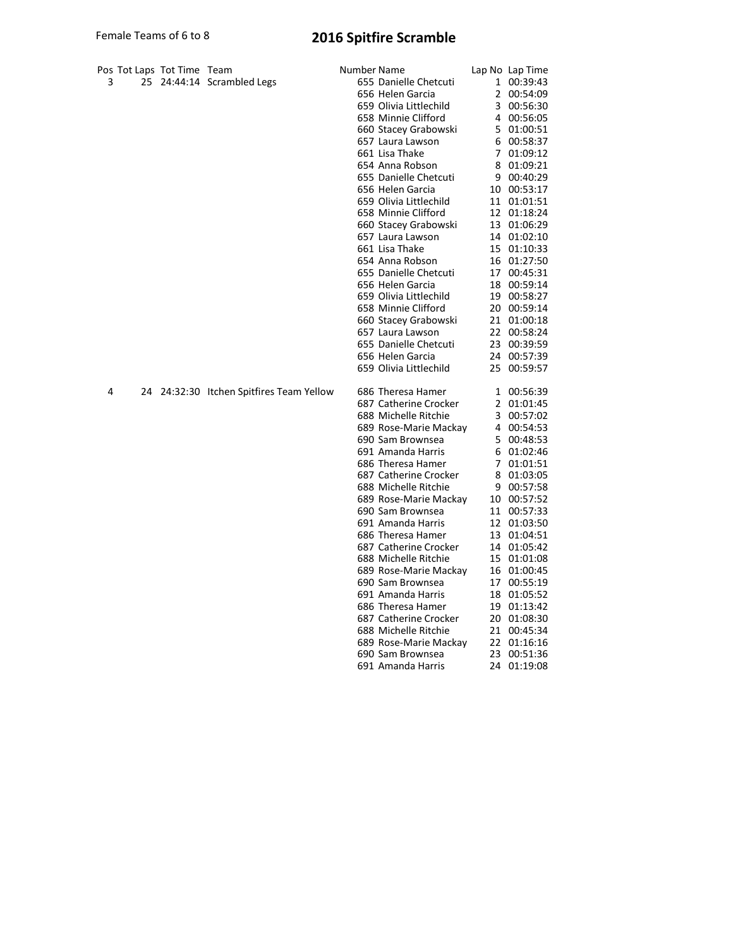## Female Teams of 6 to 8 2016 Spitfire Scramble

| 3 |    | Pos Tot Laps Tot Time Team | 25 24:44:14 Scrambled Legs            | Number Name<br>655 Danielle Chetcuti<br>656 Helen Garcia<br>659 Olivia Littlechild<br>658 Minnie Clifford<br>660 Stacey Grabowski<br>657 Laura Lawson<br>661 Lisa Thake<br>654 Anna Robson<br>655 Danielle Chetcuti<br>656 Helen Garcia<br>659 Olivia Littlechild<br>658 Minnie Clifford<br>660 Stacey Grabowski<br>657 Laura Lawson<br>661 Lisa Thake<br>654 Anna Robson<br>655 Danielle Chetcuti<br>656 Helen Garcia<br>659 Olivia Littlechild<br>658 Minnie Clifford<br>660 Stacey Grabowski<br>657 Laura Lawson<br>655 Danielle Chetcuti                 | 4<br>5.<br>6<br>$\overline{7}$<br>8<br>15<br>17<br>18<br>19                                  | Lap No Lap Time<br>1 00:39:43<br>2 00:54:09<br>3 00:56:30<br>00:56:05<br>01:00:51<br>00:58:37<br>01:09:12<br>01:09:21<br>9 00:40:29<br>10 00:53:17<br>11 01:01:51<br>12 01:18:24<br>13 01:06:29<br>14 01:02:10<br>01:10:33<br>16 01:27:50<br>00:45:31<br>00:59:14<br>00:58:27<br>20 00:59:14<br>21 01:00:18<br>22 00:58:24<br>23 00:39:59 |
|---|----|----------------------------|---------------------------------------|--------------------------------------------------------------------------------------------------------------------------------------------------------------------------------------------------------------------------------------------------------------------------------------------------------------------------------------------------------------------------------------------------------------------------------------------------------------------------------------------------------------------------------------------------------------|----------------------------------------------------------------------------------------------|-------------------------------------------------------------------------------------------------------------------------------------------------------------------------------------------------------------------------------------------------------------------------------------------------------------------------------------------|
|   |    |                            |                                       | 656 Helen Garcia<br>659 Olivia Littlechild                                                                                                                                                                                                                                                                                                                                                                                                                                                                                                                   | 24<br>25                                                                                     | 00:57:39<br>00:59:57                                                                                                                                                                                                                                                                                                                      |
| 4 | 24 |                            | 24:32:30 Itchen Spitfires Team Yellow | 686 Theresa Hamer<br>687 Catherine Crocker<br>688 Michelle Ritchie<br>689 Rose-Marie Mackay<br>690 Sam Brownsea<br>691 Amanda Harris<br>686 Theresa Hamer<br>687 Catherine Crocker<br>688 Michelle Ritchie<br>689 Rose-Marie Mackay<br>690 Sam Brownsea<br>691 Amanda Harris<br>686 Theresa Hamer<br>687 Catherine Crocker<br>688 Michelle Ritchie<br>689 Rose-Marie Mackay<br>690 Sam Brownsea<br>691 Amanda Harris<br>686 Theresa Hamer<br>687 Catherine Crocker<br>688 Michelle Ritchie<br>689 Rose-Marie Mackay<br>690 Sam Brownsea<br>691 Amanda Harris | 1<br>$\overline{2}$<br>3<br>4<br>5<br>6<br>$\overline{7}$<br>8<br>13<br>17<br>18<br>19<br>24 | 00:56:39<br>01:01:45<br>00:57:02<br>00:54:53<br>00:48:53<br>01:02:46<br>01:01:51<br>01:03:05<br>9 00:57:58<br>10 00:57:52<br>11 00:57:33<br>12 01:03:50<br>01:04:51<br>14 01:05:42<br>15 01:01:08<br>16 01:00:45<br>00:55:19<br>01:05:52<br>01:13:42<br>20 01:08:30<br>21 00:45:34<br>22 01:16:16<br>23 00:51:36<br>01:19:08              |